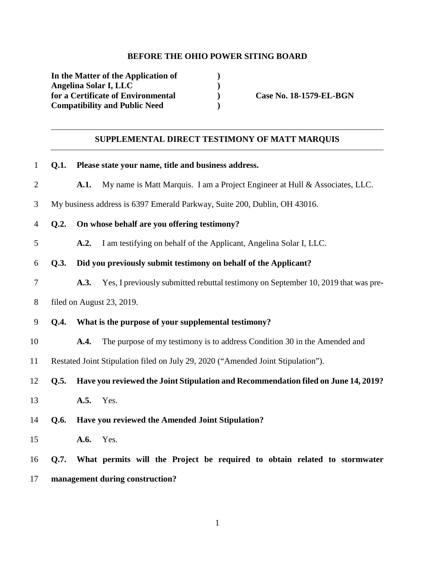### **BEFORE THE OHIO POWER SITING BOARD**

**In the Matter of the Application of ) Angelina Solar I, LLC )**  for a Certificate of Environmental **Case No. 18-1579-EL-BGN Compatibility and Public Need )** 

## **SUPPLEMENTAL DIRECT TESTIMONY OF MATT MARQUIS**

| $\mathbf{1}$   | <b>O.1.</b> | Please state your name, title and business address.                                        |
|----------------|-------------|--------------------------------------------------------------------------------------------|
| $\overline{2}$ |             | My name is Matt Marquis. I am a Project Engineer at Hull & Associates, LLC.<br>A.1.        |
| 3              |             | My business address is 6397 Emerald Parkway, Suite 200, Dublin, OH 43016.                  |
| $\overline{4}$ | Q.2.        | On whose behalf are you offering testimony?                                                |
| 5              |             | I am testifying on behalf of the Applicant, Angelina Solar I, LLC.<br>A.2.                 |
| 6              | <b>O.3.</b> | Did you previously submit testimony on behalf of the Applicant?                            |
| 7              |             | Yes, I previously submitted rebuttal testimony on September 10, 2019 that was pre-<br>A.3. |
| 8              |             | filed on August 23, 2019.                                                                  |
| 9              | <b>O.4.</b> | What is the purpose of your supplemental testimony?                                        |
| 10             |             | The purpose of my testimony is to address Condition 30 in the Amended and<br>A.4.          |
| 11             |             | Restated Joint Stipulation filed on July 29, 2020 ("Amended Joint Stipulation").           |
| 12             | 0.5.        | Have you reviewed the Joint Stipulation and Recommendation filed on June 14, 2019?         |
| 13             |             | <b>A.5.</b> Yes.                                                                           |
| 14             | <b>O.6.</b> | Have you reviewed the Amended Joint Stipulation?                                           |
| 15             |             | A.6.<br>Yes.                                                                               |
| 16             | Q.7.        | What permits will the Project be required to obtain related to stormwater                  |
| 17             |             | management during construction?                                                            |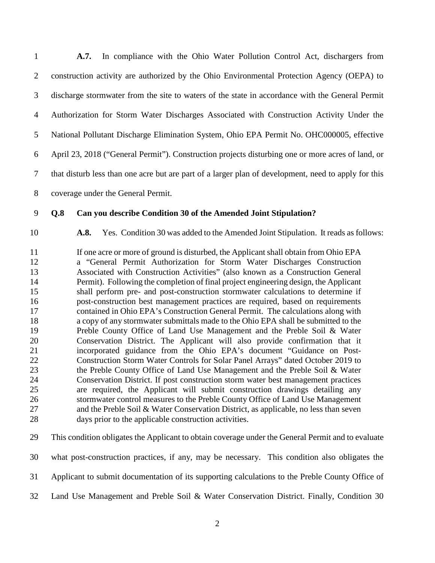| $\mathbf{1}$    | A.7. In compliance with the Ohio Water Pollution Control Act, dischargers from                       |
|-----------------|------------------------------------------------------------------------------------------------------|
| 2               | construction activity are authorized by the Ohio Environmental Protection Agency (OEPA) to           |
| 3               | discharge stormwater from the site to waters of the state in accordance with the General Permit      |
| 4               | Authorization for Storm Water Discharges Associated with Construction Activity Under the             |
| 5 <sup>5</sup>  | National Pollutant Discharge Elimination System, Ohio EPA Permit No. OHC000005, effective            |
| 6               | April 23, 2018 ("General Permit"). Construction projects disturbing one or more acres of land, or    |
| $7\phantom{.0}$ | that disturb less than one acre but are part of a larger plan of development, need to apply for this |
| 8               | coverage under the General Permit.                                                                   |

- 9 **Q.8 Can you describe Condition 30 of the Amended Joint Stipulation?**
- 

10 **A.8.** Yes. Condition 30 was added to the Amended Joint Stipulation. It reads as follows:

11 If one acre or more of ground is disturbed, the Applicant shall obtain from Ohio EPA 12 a "General Permit Authorization for Storm Water Discharges Construction 13 Associated with Construction Activities" (also known as a Construction General 14 Permit). Following the completion of final project engineering design, the Applicant 15 shall perform pre- and post-construction stormwater calculations to determine if 16 post-construction best management practices are required, based on requirements 17 contained in Ohio EPA's Construction General Permit. The calculations along with 18 a copy of any stormwater submittals made to the Ohio EPA shall be submitted to the 19 Preble County Office of Land Use Management and the Preble Soil & Water 20 Conservation District. The Applicant will also provide confirmation that it 21 incorporated guidance from the Ohio EPA's document "Guidance on Post-22 Construction Storm Water Controls for Solar Panel Arrays" dated October 2019 to 23 the Preble County Office of Land Use Management and the Preble Soil & Water 24 Conservation District. If post construction storm water best management practices 25 are required, the Applicant will submit construction drawings detailing any 26 stormwater control measures to the Preble County Office of Land Use Management 27 and the Preble Soil & Water Conservation District, as applicable, no less than seven 28 days prior to the applicable construction activities.

29 This condition obligates the Applicant to obtain coverage under the General Permit and to evaluate 30 what post-construction practices, if any, may be necessary. This condition also obligates the 31 Applicant to submit documentation of its supporting calculations to the Preble County Office of 32 Land Use Management and Preble Soil & Water Conservation District. Finally, Condition 30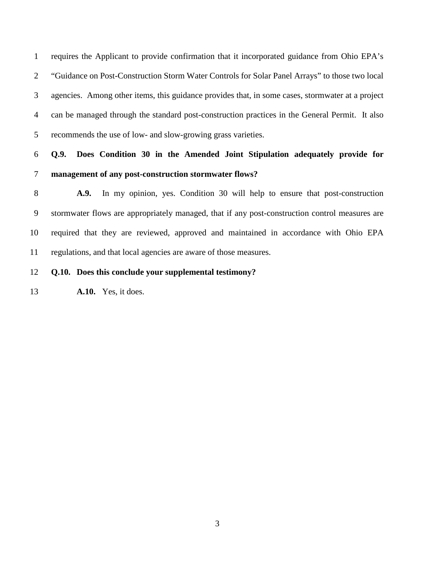1 requires the Applicant to provide confirmation that it incorporated guidance from Ohio EPA's 2 "Guidance on Post-Construction Storm Water Controls for Solar Panel Arrays" to those two local 3 agencies. Among other items, this guidance provides that, in some cases, stormwater at a project 4 can be managed through the standard post-construction practices in the General Permit. It also 5 recommends the use of low- and slow-growing grass varieties.

# 6 **Q.9. Does Condition 30 in the Amended Joint Stipulation adequately provide for**  7 **management of any post-construction stormwater flows?**

8 **A.9.** In my opinion, yes. Condition 30 will help to ensure that post-construction 9 stormwater flows are appropriately managed, that if any post-construction control measures are 10 required that they are reviewed, approved and maintained in accordance with Ohio EPA 11 regulations, and that local agencies are aware of those measures.

12 **Q.10. Does this conclude your supplemental testimony?** 

13 **A.10.** Yes, it does.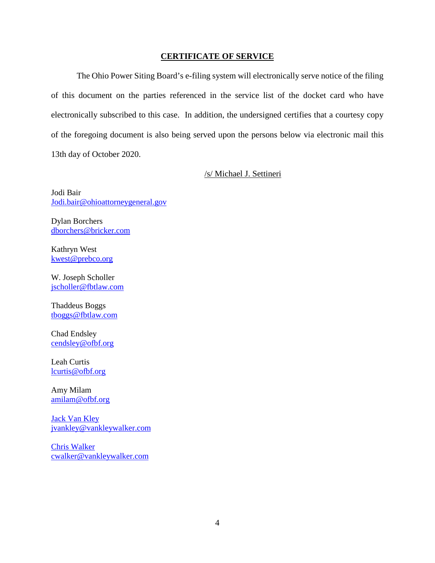#### **CERTIFICATE OF SERVICE**

The Ohio Power Siting Board's e-filing system will electronically serve notice of the filing of this document on the parties referenced in the service list of the docket card who have electronically subscribed to this case. In addition, the undersigned certifies that a courtesy copy of the foregoing document is also being served upon the persons below via electronic mail this 13th day of October 2020.

### /s/ Michael J. Settineri

Jodi Bair Jodi.bair@ohioattorneygeneral.gov

Dylan Borchers dborchers@bricker.com

Kathryn West kwest@prebco.org

W. Joseph Scholler jscholler@fbtlaw.com

Thaddeus Boggs tboggs@fbtlaw.com

Chad Endsley cendsley@ofbf.org

Leah Curtis lcurtis@ofbf.org

Amy Milam amilam@ofbf.org

Jack Van Kley jvankley@vankleywalker.com

Chris Walker cwalker@vankleywalker.com